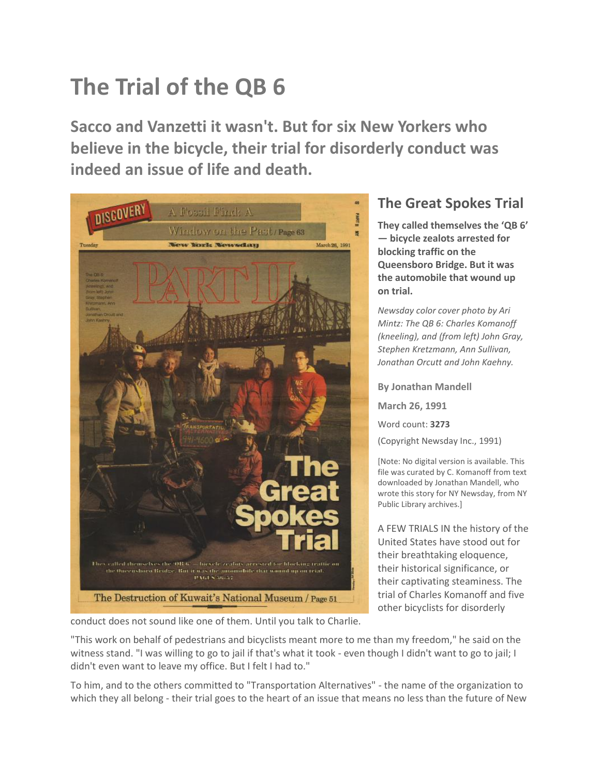## **The Trial of the QB 6**

**Sacco and Vanzetti it wasn't. But for six New Yorkers who believe in the bicycle, their trial for disorderly conduct was indeed an issue of life and death.**



## **The Great Spokes Trial**

**They called themselves the 'QB 6' — bicycle zealots arrested for blocking traffic on the Queensboro Bridge. But it was the automobile that wound up on trial.** 

*Newsday color cover photo by Ari Mintz: The QB 6: Charles Komanoff (kneeling), and (from left) John Gray, Stephen Kretzmann, Ann Sullivan, Jonathan Orcutt and John Kaehny.*

**By Jonathan Mandell March 26, 1991** Word count: **3273** (Copyright Newsday Inc., 1991)

[Note: No digital version is available. This file was curated by C. Komanoff from text downloaded by Jonathan Mandell, who wrote this story for NY Newsday, from NY Public Library archives.]

A FEW TRIALS IN the history of the United States have stood out for their breathtaking eloquence, their historical significance, or their captivating steaminess. The trial of Charles Komanoff and five other bicyclists for disorderly

conduct does not sound like one of them. Until you talk to Charlie.

"This work on behalf of pedestrians and bicyclists meant more to me than my freedom," he said on the witness stand. "I was willing to go to jail if that's what it took - even though I didn't want to go to jail; I didn't even want to leave my office. But I felt I had to."

To him, and to the others committed to "Transportation Alternatives" - the name of the organization to which they all belong - their trial goes to the heart of an issue that means no less than the future of New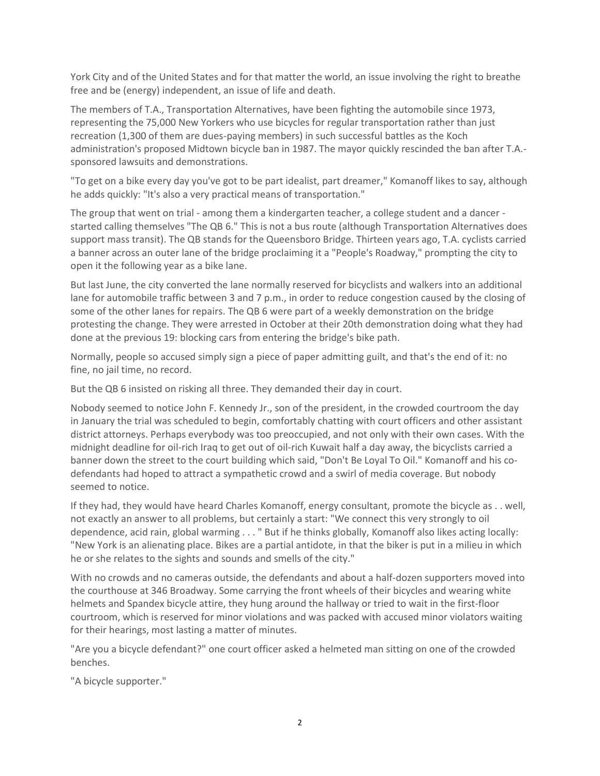York City and of the United States and for that matter the world, an issue involving the right to breathe free and be (energy) independent, an issue of life and death.

The members of T.A., Transportation Alternatives, have been fighting the automobile since 1973, representing the 75,000 New Yorkers who use bicycles for regular transportation rather than just recreation (1,300 of them are dues-paying members) in such successful battles as the Koch administration's proposed Midtown bicycle ban in 1987. The mayor quickly rescinded the ban after T.A. sponsored lawsuits and demonstrations.

"To get on a bike every day you've got to be part idealist, part dreamer," Komanoff likes to say, although he adds quickly: "It's also a very practical means of transportation."

The group that went on trial - among them a kindergarten teacher, a college student and a dancer started calling themselves "The QB 6." This is not a bus route (although Transportation Alternatives does support mass transit). The QB stands for the Queensboro Bridge. Thirteen years ago, T.A. cyclists carried a banner across an outer lane of the bridge proclaiming it a "People's Roadway," prompting the city to open it the following year as a bike lane.

But last June, the city converted the lane normally reserved for bicyclists and walkers into an additional lane for automobile traffic between 3 and 7 p.m., in order to reduce congestion caused by the closing of some of the other lanes for repairs. The QB 6 were part of a weekly demonstration on the bridge protesting the change. They were arrested in October at their 20th demonstration doing what they had done at the previous 19: blocking cars from entering the bridge's bike path.

Normally, people so accused simply sign a piece of paper admitting guilt, and that's the end of it: no fine, no jail time, no record.

But the QB 6 insisted on risking all three. They demanded their day in court.

Nobody seemed to notice John F. Kennedy Jr., son of the president, in the crowded courtroom the day in January the trial was scheduled to begin, comfortably chatting with court officers and other assistant district attorneys. Perhaps everybody was too preoccupied, and not only with their own cases. With the midnight deadline for oil-rich Iraq to get out of oil-rich Kuwait half a day away, the bicyclists carried a banner down the street to the court building which said, "Don't Be Loyal To Oil." Komanoff and his codefendants had hoped to attract a sympathetic crowd and a swirl of media coverage. But nobody seemed to notice.

If they had, they would have heard Charles Komanoff, energy consultant, promote the bicycle as . . well, not exactly an answer to all problems, but certainly a start: "We connect this very strongly to oil dependence, acid rain, global warming . . . " But if he thinks globally, Komanoff also likes acting locally: "New York is an alienating place. Bikes are a partial antidote, in that the biker is put in a milieu in which he or she relates to the sights and sounds and smells of the city."

With no crowds and no cameras outside, the defendants and about a half-dozen supporters moved into the courthouse at 346 Broadway. Some carrying the front wheels of their bicycles and wearing white helmets and Spandex bicycle attire, they hung around the hallway or tried to wait in the first-floor courtroom, which is reserved for minor violations and was packed with accused minor violators waiting for their hearings, most lasting a matter of minutes.

"Are you a bicycle defendant?" one court officer asked a helmeted man sitting on one of the crowded benches.

"A bicycle supporter."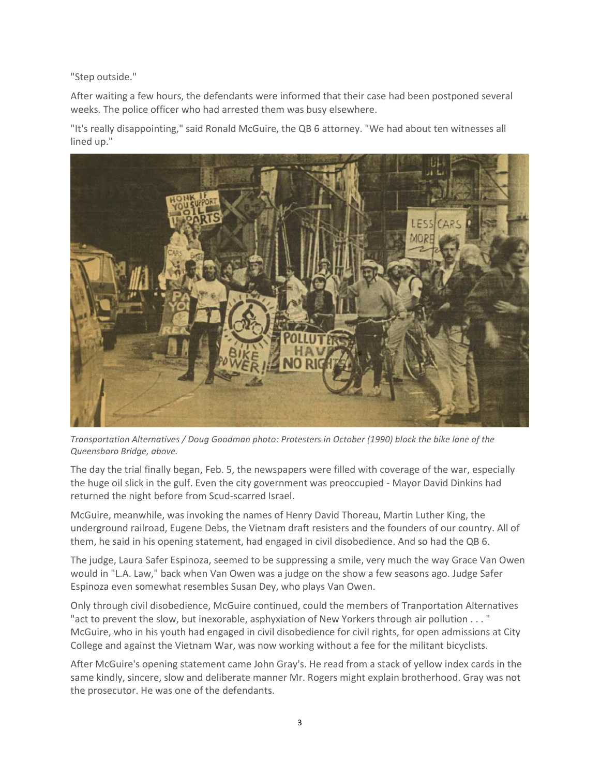"Step outside."

After waiting a few hours, the defendants were informed that their case had been postponed several weeks. The police officer who had arrested them was busy elsewhere.

"It's really disappointing," said Ronald McGuire, the QB 6 attorney. "We had about ten witnesses all lined up."



*Transportation Alternatives / Doug Goodman photo: Protesters in October (1990) block the bike lane of the Queensboro Bridge, above.*

The day the trial finally began, Feb. 5, the newspapers were filled with coverage of the war, especially the huge oil slick in the gulf. Even the city government was preoccupied - Mayor David Dinkins had returned the night before from Scud-scarred Israel.

McGuire, meanwhile, was invoking the names of Henry David Thoreau, Martin Luther King, the underground railroad, Eugene Debs, the Vietnam draft resisters and the founders of our country. All of them, he said in his opening statement, had engaged in civil disobedience. And so had the QB 6.

The judge, Laura Safer Espinoza, seemed to be suppressing a smile, very much the way Grace Van Owen would in "L.A. Law," back when Van Owen was a judge on the show a few seasons ago. Judge Safer Espinoza even somewhat resembles Susan Dey, who plays Van Owen.

Only through civil disobedience, McGuire continued, could the members of Tranportation Alternatives "act to prevent the slow, but inexorable, asphyxiation of New Yorkers through air pollution . . . " McGuire, who in his youth had engaged in civil disobedience for civil rights, for open admissions at City College and against the Vietnam War, was now working without a fee for the militant bicyclists.

After McGuire's opening statement came John Gray's. He read from a stack of yellow index cards in the same kindly, sincere, slow and deliberate manner Mr. Rogers might explain brotherhood. Gray was not the prosecutor. He was one of the defendants.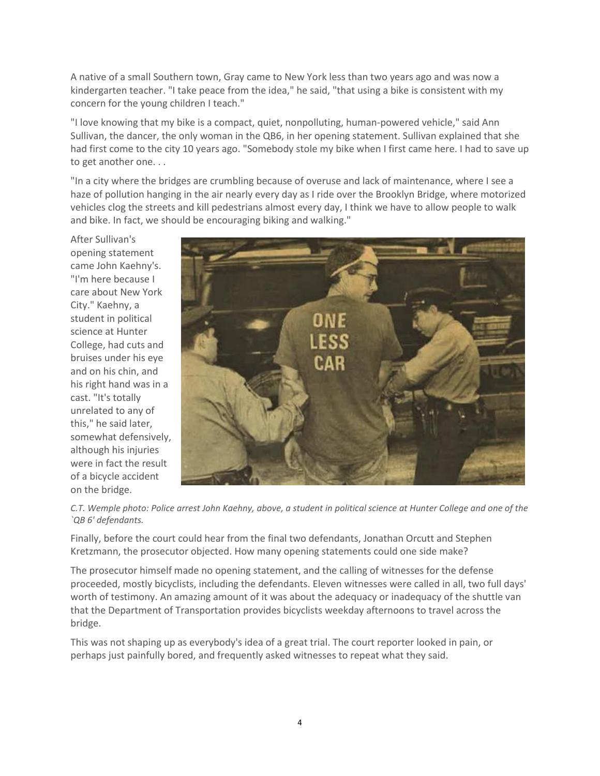A native of a small Southern town, Gray came to New York less than two years ago and was now a kindergarten teacher. "I take peace from the idea," he said, "that using a bike is consistent with my concern for the young children I teach."

"I love knowing that my bike is a compact, quiet, nonpolluting, human-powered vehicle," said Ann Sullivan, the dancer, the only woman in the QB6, in her opening statement. Sullivan explained that she had first come to the city 10 years ago. "Somebody stole my bike when I first came here. I had to save up to get another one. . .

"In a city where the bridges are crumbling because of overuse and lack of maintenance, where I see a haze of pollution hanging in the air nearly every day as I ride over the Brooklyn Bridge, where motorized vehicles clog the streets and kill pedestrians almost every day, I think we have to allow people to walk and bike. In fact, we should be encouraging biking and walking."

After Sullivan's opening statement came John Kaehny's. "I'm here because I care about New York City." Kaehny, a student in political science at Hunter College, had cuts and bruises under his eye and on his chin, and his right hand was in a cast. "It's totally unrelated to any of this," he said later, somewhat defensively, although his injuries were in fact the result of a bicycle accident on the bridge.



*C.T. Wemple photo: Police arrest John Kaehny, above, a student in political science at Hunter College and one of the `QB 6' defendants.*

Finally, before the court could hear from the final two defendants, Jonathan Orcutt and Stephen Kretzmann, the prosecutor objected. How many opening statements could one side make?

The prosecutor himself made no opening statement, and the calling of witnesses for the defense proceeded, mostly bicyclists, including the defendants. Eleven witnesses were called in all, two full days' worth of testimony. An amazing amount of it was about the adequacy or inadequacy of the shuttle van that the Department of Transportation provides bicyclists weekday afternoons to travel across the bridge.

This was not shaping up as everybody's idea of a great trial. The court reporter looked in pain, or perhaps just painfully bored, and frequently asked witnesses to repeat what they said.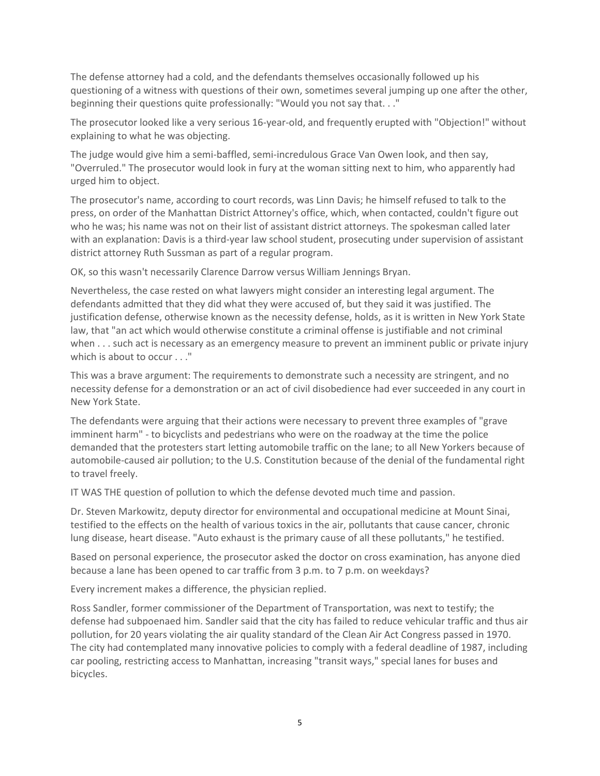The defense attorney had a cold, and the defendants themselves occasionally followed up his questioning of a witness with questions of their own, sometimes several jumping up one after the other, beginning their questions quite professionally: "Would you not say that. . ."

The prosecutor looked like a very serious 16-year-old, and frequently erupted with "Objection!" without explaining to what he was objecting.

The judge would give him a semi-baffled, semi-incredulous Grace Van Owen look, and then say, "Overruled." The prosecutor would look in fury at the woman sitting next to him, who apparently had urged him to object.

The prosecutor's name, according to court records, was Linn Davis; he himself refused to talk to the press, on order of the Manhattan District Attorney's office, which, when contacted, couldn't figure out who he was; his name was not on their list of assistant district attorneys. The spokesman called later with an explanation: Davis is a third-year law school student, prosecuting under supervision of assistant district attorney Ruth Sussman as part of a regular program.

OK, so this wasn't necessarily Clarence Darrow versus William Jennings Bryan.

Nevertheless, the case rested on what lawyers might consider an interesting legal argument. The defendants admitted that they did what they were accused of, but they said it was justified. The justification defense, otherwise known as the necessity defense, holds, as it is written in New York State law, that "an act which would otherwise constitute a criminal offense is justifiable and not criminal when . . . such act is necessary as an emergency measure to prevent an imminent public or private injury which is about to occur . . ."

This was a brave argument: The requirements to demonstrate such a necessity are stringent, and no necessity defense for a demonstration or an act of civil disobedience had ever succeeded in any court in New York State.

The defendants were arguing that their actions were necessary to prevent three examples of "grave imminent harm" - to bicyclists and pedestrians who were on the roadway at the time the police demanded that the protesters start letting automobile traffic on the lane; to all New Yorkers because of automobile-caused air pollution; to the U.S. Constitution because of the denial of the fundamental right to travel freely.

IT WAS THE question of pollution to which the defense devoted much time and passion.

Dr. Steven Markowitz, deputy director for environmental and occupational medicine at Mount Sinai, testified to the effects on the health of various toxics in the air, pollutants that cause cancer, chronic lung disease, heart disease. "Auto exhaust is the primary cause of all these pollutants," he testified.

Based on personal experience, the prosecutor asked the doctor on cross examination, has anyone died because a lane has been opened to car traffic from 3 p.m. to 7 p.m. on weekdays?

Every increment makes a difference, the physician replied.

Ross Sandler, former commissioner of the Department of Transportation, was next to testify; the defense had subpoenaed him. Sandler said that the city has failed to reduce vehicular traffic and thus air pollution, for 20 years violating the air quality standard of the Clean Air Act Congress passed in 1970. The city had contemplated many innovative policies to comply with a federal deadline of 1987, including car pooling, restricting access to Manhattan, increasing "transit ways," special lanes for buses and bicycles.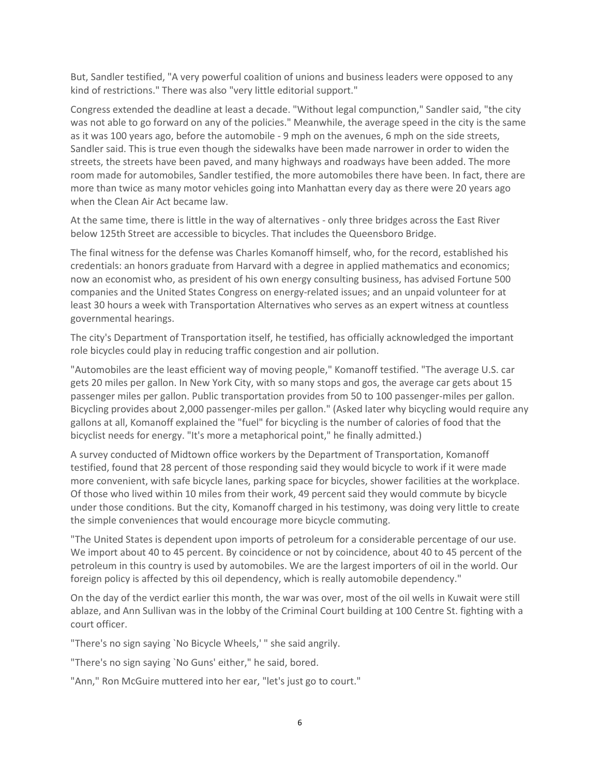But, Sandler testified, "A very powerful coalition of unions and business leaders were opposed to any kind of restrictions." There was also "very little editorial support."

Congress extended the deadline at least a decade. "Without legal compunction," Sandler said, "the city was not able to go forward on any of the policies." Meanwhile, the average speed in the city is the same as it was 100 years ago, before the automobile - 9 mph on the avenues, 6 mph on the side streets, Sandler said. This is true even though the sidewalks have been made narrower in order to widen the streets, the streets have been paved, and many highways and roadways have been added. The more room made for automobiles, Sandler testified, the more automobiles there have been. In fact, there are more than twice as many motor vehicles going into Manhattan every day as there were 20 years ago when the Clean Air Act became law.

At the same time, there is little in the way of alternatives - only three bridges across the East River below 125th Street are accessible to bicycles. That includes the Queensboro Bridge.

The final witness for the defense was Charles Komanoff himself, who, for the record, established his credentials: an honors graduate from Harvard with a degree in applied mathematics and economics; now an economist who, as president of his own energy consulting business, has advised Fortune 500 companies and the United States Congress on energy-related issues; and an unpaid volunteer for at least 30 hours a week with Transportation Alternatives who serves as an expert witness at countless governmental hearings.

The city's Department of Transportation itself, he testified, has officially acknowledged the important role bicycles could play in reducing traffic congestion and air pollution.

"Automobiles are the least efficient way of moving people," Komanoff testified. "The average U.S. car gets 20 miles per gallon. In New York City, with so many stops and gos, the average car gets about 15 passenger miles per gallon. Public transportation provides from 50 to 100 passenger-miles per gallon. Bicycling provides about 2,000 passenger-miles per gallon." (Asked later why bicycling would require any gallons at all, Komanoff explained the "fuel" for bicycling is the number of calories of food that the bicyclist needs for energy. "It's more a metaphorical point," he finally admitted.)

A survey conducted of Midtown office workers by the Department of Transportation, Komanoff testified, found that 28 percent of those responding said they would bicycle to work if it were made more convenient, with safe bicycle lanes, parking space for bicycles, shower facilities at the workplace. Of those who lived within 10 miles from their work, 49 percent said they would commute by bicycle under those conditions. But the city, Komanoff charged in his testimony, was doing very little to create the simple conveniences that would encourage more bicycle commuting.

"The United States is dependent upon imports of petroleum for a considerable percentage of our use. We import about 40 to 45 percent. By coincidence or not by coincidence, about 40 to 45 percent of the petroleum in this country is used by automobiles. We are the largest importers of oil in the world. Our foreign policy is affected by this oil dependency, which is really automobile dependency."

On the day of the verdict earlier this month, the war was over, most of the oil wells in Kuwait were still ablaze, and Ann Sullivan was in the lobby of the Criminal Court building at 100 Centre St. fighting with a court officer.

"There's no sign saying `No Bicycle Wheels,' " she said angrily.

"There's no sign saying `No Guns' either," he said, bored.

"Ann," Ron McGuire muttered into her ear, "let's just go to court."